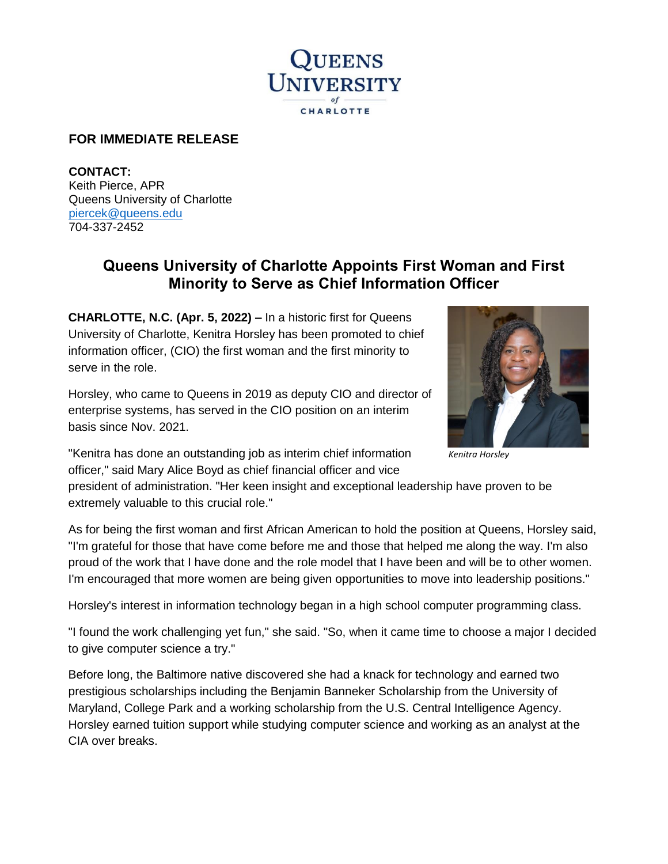

## **FOR IMMEDIATE RELEASE**

**CONTACT:**  Keith Pierce, APR Queens University of Charlotte [piercek@queens.edu](mailto:piercek@queens.edu) 704-337-2452

## **Queens University of Charlotte Appoints First Woman and First Minority to Serve as Chief Information Officer**

**CHARLOTTE, N.C. (Apr. 5, 2022) –** In a historic first for Queens University of Charlotte, Kenitra Horsley has been promoted to chief information officer, (CIO) the first woman and the first minority to serve in the role.

Horsley, who came to Queens in 2019 as deputy CIO and director of enterprise systems, has served in the CIO position on an interim basis since Nov. 2021.



*Kenitra Horsley*

"Kenitra has done an outstanding job as interim chief information officer," said Mary Alice Boyd as chief financial officer and vice

president of administration. "Her keen insight and exceptional leadership have proven to be extremely valuable to this crucial role."

As for being the first woman and first African American to hold the position at Queens, Horsley said, "I'm grateful for those that have come before me and those that helped me along the way. I'm also proud of the work that I have done and the role model that I have been and will be to other women. I'm encouraged that more women are being given opportunities to move into leadership positions."

Horsley's interest in information technology began in a high school computer programming class.

"I found the work challenging yet fun," she said. "So, when it came time to choose a major I decided to give computer science a try."

Before long, the Baltimore native discovered she had a knack for technology and earned two prestigious scholarships including the Benjamin Banneker Scholarship from the University of Maryland, College Park and a working scholarship from the U.S. Central Intelligence Agency. Horsley earned tuition support while studying computer science and working as an analyst at the CIA over breaks.